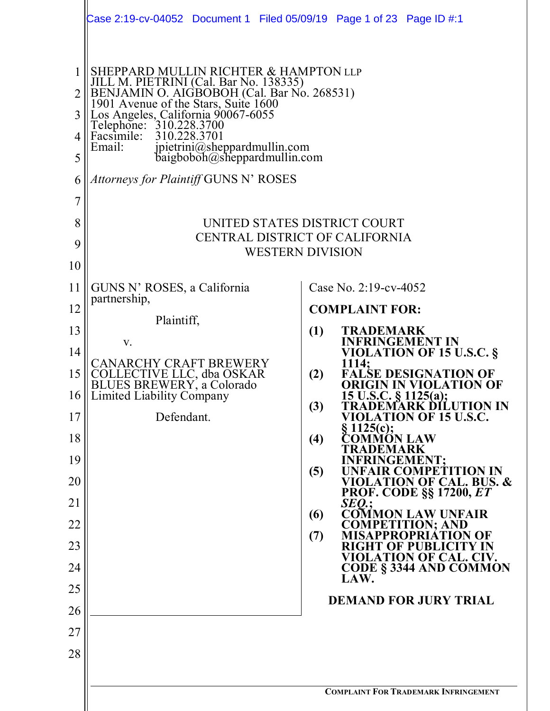|             | Case 2:19-cv-04052 Document 1 Filed 05/09/19 Page 1 of 23 Page ID #:1                                                                                                                                                                                                                                                                                                                   |                                                                              |
|-------------|-----------------------------------------------------------------------------------------------------------------------------------------------------------------------------------------------------------------------------------------------------------------------------------------------------------------------------------------------------------------------------------------|------------------------------------------------------------------------------|
| 3<br>5<br>6 | SHEPPARD MULLIN RICHTER & HAMPTON LLP<br>JILL M. PIETRINI (Cal. Bar No. 138335)<br>BENJAMIN O. AIGBOBOH (Cal. Bar No. 268531)<br>1901 Avenue of the Stars, Suite 1600<br>Los Angeles, California 90067-6055<br>Telephone: 310.228.3700<br>Facsimile:<br>310.228.3701<br>Email:<br>jpietrini@sheppardmullin.com<br>baigboboh@sheppardmullin.com<br>Attorneys for Plaintiff GUNS N' ROSES |                                                                              |
| 7           |                                                                                                                                                                                                                                                                                                                                                                                         |                                                                              |
| 8           |                                                                                                                                                                                                                                                                                                                                                                                         | UNITED STATES DISTRICT COURT                                                 |
| 9           | CENTRAL DISTRICT OF CALIFORNIA                                                                                                                                                                                                                                                                                                                                                          |                                                                              |
| 10          |                                                                                                                                                                                                                                                                                                                                                                                         | <b>WESTERN DIVISION</b>                                                      |
| 11          | GUNS N' ROSES, a California                                                                                                                                                                                                                                                                                                                                                             | Case No. 2:19-cv-4052                                                        |
| 12          | partnership,                                                                                                                                                                                                                                                                                                                                                                            | <b>COMPLAINT FOR:</b>                                                        |
| 13          | Plaintiff,                                                                                                                                                                                                                                                                                                                                                                              | (1)<br>TRADEMARK                                                             |
| 14          | V.                                                                                                                                                                                                                                                                                                                                                                                      | <b>INFRINGEMENT IN</b><br><b>VIOLATION OF 15 U.S.C. §</b>                    |
| 15          | <b>CANARCHY CRAFT BREWERY</b><br>COLLECTIVE LLC, dba OSKAR<br>BLUES BREWERY, a Colorado                                                                                                                                                                                                                                                                                                 | 1114;<br>(2)<br><b>FALSE DESIGNATION OF</b><br><b>ORIGIN IN VIOLATION OF</b> |
|             | 16    Limited Liability Company                                                                                                                                                                                                                                                                                                                                                         | $15$ U.S.C. § 1125(a);<br>(3)<br>TRADEMARK DÍLUTION IN                       |
| 17<br>18    | Defendant.                                                                                                                                                                                                                                                                                                                                                                              | VIOLATION OF 15 U.S.C.<br>$\S 1125(c);$<br>OMMŐN LAW<br>(4)                  |
| 19          |                                                                                                                                                                                                                                                                                                                                                                                         | 'RADEMARK<br><b>FRINGEMENT:</b>                                              |
| 20          |                                                                                                                                                                                                                                                                                                                                                                                         | (5)<br><b>R COMPETITION IN</b><br><b>VIOLATION OF CAL. BUS. &amp;</b>        |
| 21          |                                                                                                                                                                                                                                                                                                                                                                                         | <b>PROF. CODE §§ 17200, ET</b><br>SEO:                                       |
| 22          |                                                                                                                                                                                                                                                                                                                                                                                         | <b>COMMON LAW UNFAIR</b><br>(6)<br><b>COMPETITION; AND</b>                   |
| 23          |                                                                                                                                                                                                                                                                                                                                                                                         | (7)<br>PRIATION OF<br><b>RIGHT OF PUBLICITY IN</b>                           |
| 24          |                                                                                                                                                                                                                                                                                                                                                                                         | VIOLATION OF CAL. CIV.<br><b>CODE § 3344 AND COMMON</b>                      |
| 25          |                                                                                                                                                                                                                                                                                                                                                                                         | LAW.                                                                         |
| 26          |                                                                                                                                                                                                                                                                                                                                                                                         | <b>DEMAND FOR JURY TRIAL</b>                                                 |
| 27          |                                                                                                                                                                                                                                                                                                                                                                                         |                                                                              |
| 28          |                                                                                                                                                                                                                                                                                                                                                                                         |                                                                              |
|             |                                                                                                                                                                                                                                                                                                                                                                                         |                                                                              |
|             |                                                                                                                                                                                                                                                                                                                                                                                         | <b>COMPLAINT FOR TRADEMARK INFRINGEMENT</b>                                  |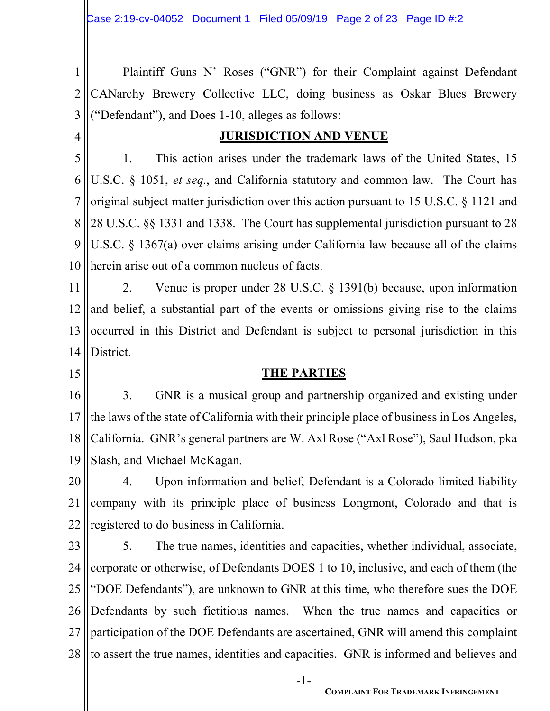1 2 3 Plaintiff Guns N' Roses ("GNR") for their Complaint against Defendant CANarchy Brewery Collective LLC, doing business as Oskar Blues Brewery ("Defendant"), and Does 1-10, alleges as follows:

4

#### **JURISDICTION AND VENUE**

5 6 7 8 9 10 1. This action arises under the trademark laws of the United States, 15 U.S.C. § 1051, *et seq.*, and California statutory and common law. The Court has original subject matter jurisdiction over this action pursuant to 15 U.S.C. § 1121 and 28 U.S.C. §§ 1331 and 1338. The Court has supplemental jurisdiction pursuant to 28 U.S.C. § 1367(a) over claims arising under California law because all of the claims herein arise out of a common nucleus of facts.

11 12 13 14 2. Venue is proper under 28 U.S.C. § 1391(b) because, upon information and belief, a substantial part of the events or omissions giving rise to the claims occurred in this District and Defendant is subject to personal jurisdiction in this District.

- 15
- 

#### **THE PARTIES**

16 17 18 19 3. GNR is a musical group and partnership organized and existing under the laws of the state of California with their principle place of business in Los Angeles, California. GNR's general partners are W. Axl Rose ("Axl Rose"), Saul Hudson, pka Slash, and Michael McKagan.

20 21 22 4. Upon information and belief, Defendant is a Colorado limited liability company with its principle place of business Longmont, Colorado and that is registered to do business in California.

23 24 25 26 27 28 5. The true names, identities and capacities, whether individual, associate, corporate or otherwise, of Defendants DOES 1 to 10, inclusive, and each of them (the "DOE Defendants"), are unknown to GNR at this time, who therefore sues the DOE Defendants by such fictitious names. When the true names and capacities or participation of the DOE Defendants are ascertained, GNR will amend this complaint to assert the true names, identities and capacities. GNR is informed and believes and

<u>-1-</u>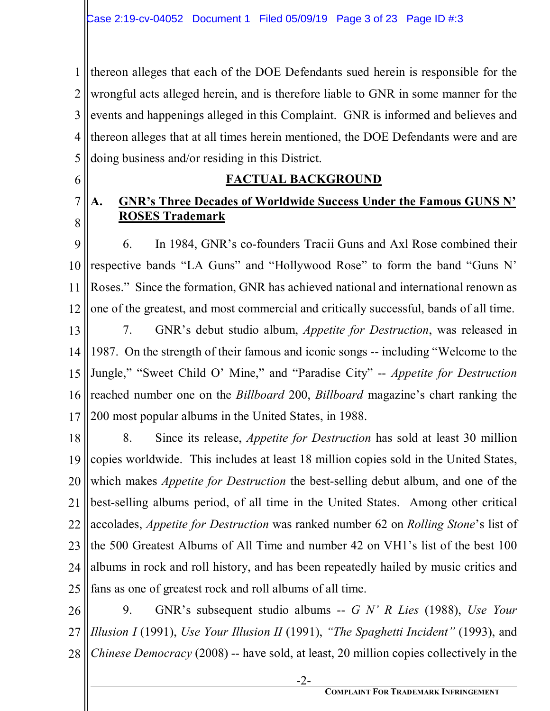1 2 3 4 5 thereon alleges that each of the DOE Defendants sued herein is responsible for the wrongful acts alleged herein, and is therefore liable to GNR in some manner for the events and happenings alleged in this Complaint. GNR is informed and believes and thereon alleges that at all times herein mentioned, the DOE Defendants were and are doing business and/or residing in this District.

6

7

8

# **FACTUAL BACKGROUND**

## **A. GNR's Three Decades of Worldwide Success Under the Famous GUNS N' ROSES Trademark**

9 10 11 12 6. In 1984, GNR's co-founders Tracii Guns and Axl Rose combined their respective bands "LA Guns" and "Hollywood Rose" to form the band "Guns N' Roses." Since the formation, GNR has achieved national and international renown as one of the greatest, and most commercial and critically successful, bands of all time.

13 14 15 16 17 7. GNR's debut studio album, *Appetite for Destruction*, was released in 1987. On the strength of their famous and iconic songs -- including "Welcome to the Jungle," "Sweet Child O' Mine," and "Paradise City" -- *Appetite for Destruction* reached number one on the *Billboard* 200, *Billboard* magazine's chart ranking the 200 most popular albums in the United States, in 1988.

18 19 20 21 22 23 24 25 8. Since its release, *Appetite for Destruction* has sold at least 30 million copies worldwide. This includes at least 18 million copies sold in the United States, which makes *Appetite for Destruction* the best-selling debut album, and one of the best-selling albums period, of all time in the United States. Among other critical accolades, *Appetite for Destruction* was ranked number 62 on *Rolling Stone*'s list of the 500 Greatest Albums of All Time and number 42 on VH1's list of the best 100 albums in rock and roll history, and has been repeatedly hailed by music critics and fans as one of greatest rock and roll albums of all time.

26 27 28 9. GNR's subsequent studio albums -- *G N' R Lies* (1988), *Use Your Illusion I* (1991), *Use Your Illusion II* (1991), *"The Spaghetti Incident"* (1993), and *Chinese Democracy* (2008) -- have sold, at least, 20 million copies collectively in the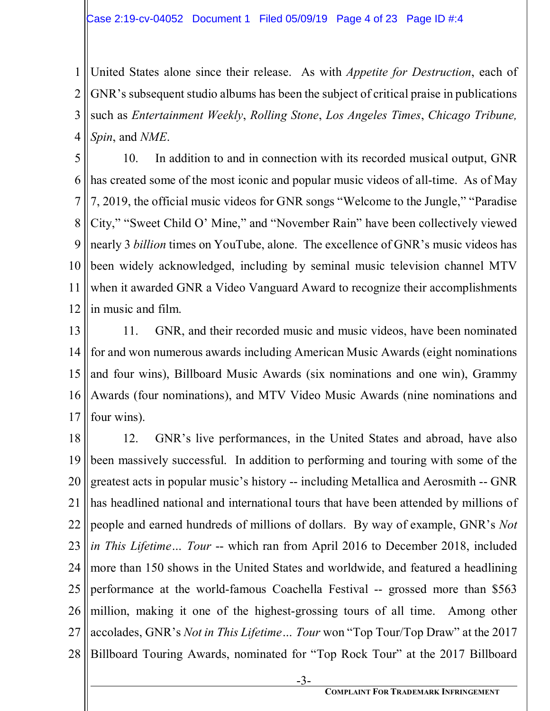1 2 3 4 United States alone since their release. As with *Appetite for Destruction*, each of GNR's subsequent studio albums has been the subject of critical praise in publications such as *Entertainment Weekly*, *Rolling Stone*, *Los Angeles Times*, *Chicago Tribune, Spin*, and *NME*.

5 6 7 8 9 10 11 12 10. In addition to and in connection with its recorded musical output, GNR has created some of the most iconic and popular music videos of all-time. As of May 7, 2019, the official music videos for GNR songs "Welcome to the Jungle," "Paradise City," "Sweet Child O' Mine," and "November Rain" have been collectively viewed nearly 3 *billion* times on YouTube, alone. The excellence of GNR's music videos has been widely acknowledged, including by seminal music television channel MTV when it awarded GNR a Video Vanguard Award to recognize their accomplishments in music and film.

13 14 15 16 17 11. GNR, and their recorded music and music videos, have been nominated for and won numerous awards including American Music Awards (eight nominations and four wins), Billboard Music Awards (six nominations and one win), Grammy Awards (four nominations), and MTV Video Music Awards (nine nominations and four wins).

18 19 20 21 22 23 24 25 26 27 28 12. GNR's live performances, in the United States and abroad, have also been massively successful. In addition to performing and touring with some of the greatest acts in popular music's history -- including Metallica and Aerosmith -- GNR has headlined national and international tours that have been attended by millions of people and earned hundreds of millions of dollars. By way of example, GNR's *Not in This Lifetime… Tour* -- which ran from April 2016 to December 2018, included more than 150 shows in the United States and worldwide, and featured a headlining performance at the world-famous Coachella Festival -- grossed more than \$563 million, making it one of the highest-grossing tours of all time. Among other accolades, GNR's *Not in This Lifetime… Tour* won "Top Tour/Top Draw" at the 2017 Billboard Touring Awards, nominated for "Top Rock Tour" at the 2017 Billboard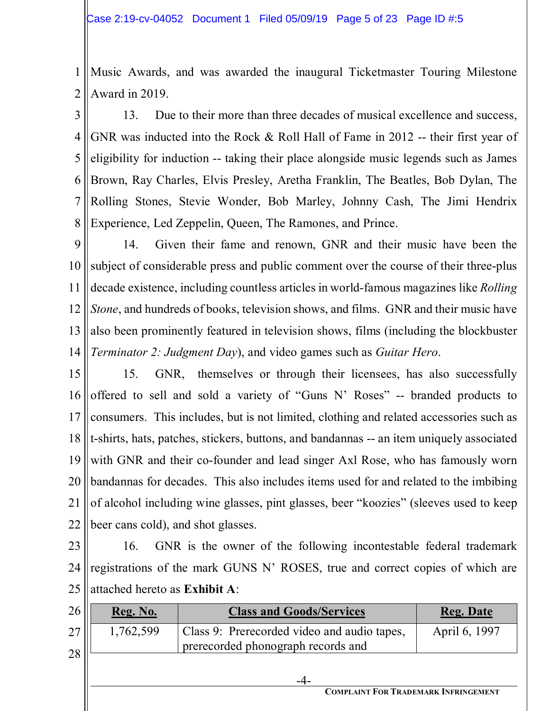1 2 Music Awards, and was awarded the inaugural Ticketmaster Touring Milestone Award in 2019.

3 4 5 6 7 8 13. Due to their more than three decades of musical excellence and success, GNR was inducted into the Rock & Roll Hall of Fame in 2012 -- their first year of eligibility for induction -- taking their place alongside music legends such as James Brown, Ray Charles, Elvis Presley, Aretha Franklin, The Beatles, Bob Dylan, The Rolling Stones, Stevie Wonder, Bob Marley, Johnny Cash, The Jimi Hendrix Experience, Led Zeppelin, Queen, The Ramones, and Prince.

9 10 11 12 13 14 14. Given their fame and renown, GNR and their music have been the subject of considerable press and public comment over the course of their three-plus decade existence, including countless articles in world-famous magazines like *Rolling Stone*, and hundreds of books, television shows, and films. GNR and their music have also been prominently featured in television shows, films (including the blockbuster *Terminator 2: Judgment Day*), and video games such as *Guitar Hero*.

15 16 17 18 19 20 21 22 15. GNR, themselves or through their licensees, has also successfully offered to sell and sold a variety of "Guns N' Roses" -- branded products to consumers. This includes, but is not limited, clothing and related accessories such as t-shirts, hats, patches, stickers, buttons, and bandannas -- an item uniquely associated with GNR and their co-founder and lead singer Axl Rose, who has famously worn bandannas for decades. This also includes items used for and related to the imbibing of alcohol including wine glasses, pint glasses, beer "koozies" (sleeves used to keep beer cans cold), and shot glasses.

23 24 25 16. GNR is the owner of the following incontestable federal trademark registrations of the mark GUNS N' ROSES, true and correct copies of which are attached hereto as **Exhibit A**:

| 26 | <b>Reg. No.</b> | <b>Class and Goods/Services</b>             | <b>Reg. Date</b> |
|----|-----------------|---------------------------------------------|------------------|
| 27 | 1,762,599       | Class 9: Prerecorded video and audio tapes, | April 6, 1997    |
| 28 |                 | prerecorded phonograph records and          |                  |
|    |                 |                                             |                  |

**COMPLAINT FOR TRADEMARK INFRINGEMENT**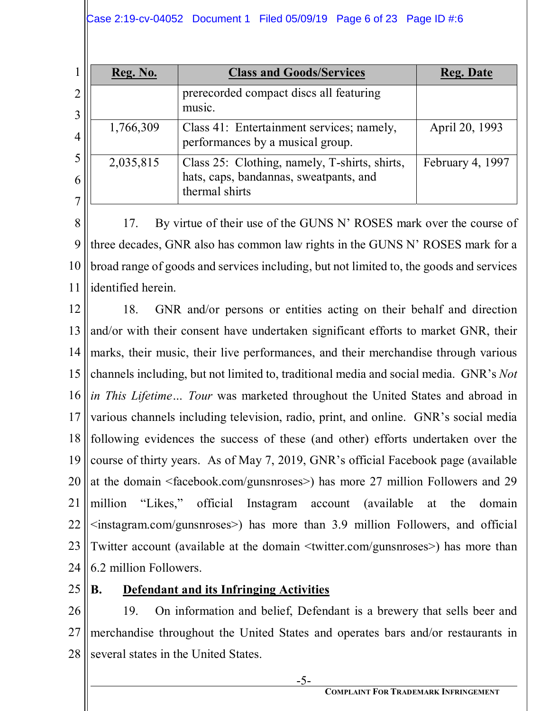| Reg. No.  | <b>Class and Goods/Services</b>                                                                           | <b>Reg. Date</b> |
|-----------|-----------------------------------------------------------------------------------------------------------|------------------|
|           | prerecorded compact discs all featuring<br>music.                                                         |                  |
| 1,766,309 | Class 41: Entertainment services; namely,<br>performances by a musical group.                             | April 20, 1993   |
| 2,035,815 | Class 25: Clothing, namely, T-shirts, shirts,<br>hats, caps, bandannas, sweatpants, and<br>thermal shirts | February 4, 1997 |

8 9 10 11 17. By virtue of their use of the GUNS N' ROSES mark over the course of three decades, GNR also has common law rights in the GUNS N' ROSES mark for a broad range of goods and services including, but not limited to, the goods and services identified herein.

12 13 14 15 16 17 18 19 20 21 22 23 24 18. GNR and/or persons or entities acting on their behalf and direction and/or with their consent have undertaken significant efforts to market GNR, their marks, their music, their live performances, and their merchandise through various channels including, but not limited to, traditional media and social media. GNR's *Not in This Lifetime… Tour* was marketed throughout the United States and abroad in various channels including television, radio, print, and online. GNR's social media following evidences the success of these (and other) efforts undertaken over the course of thirty years. As of May 7, 2019, GNR's official Facebook page (available at the domain <facebook.com/gunsnroses>) has more 27 million Followers and 29 million "Likes," official Instagram account (available at the domain  $\leq$ instagram.com/gunsnroses $\geq$ ) has more than 3.9 million Followers, and official Twitter account (available at the domain <twitter.com/gunsnroses>) has more than 6.2 million Followers.

25

# **B. Defendant and its Infringing Activities**

26 27 28 19. On information and belief, Defendant is a brewery that sells beer and merchandise throughout the United States and operates bars and/or restaurants in several states in the United States.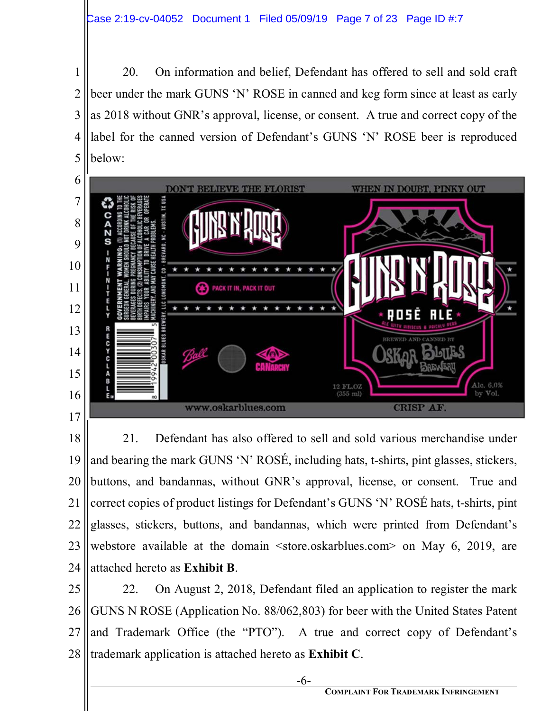1

2

5

3 4 20. On information and belief, Defendant has offered to sell and sold craft beer under the mark GUNS 'N' ROSE in canned and keg form since at least as early as 2018 without GNR's approval, license, or consent. A true and correct copy of the label for the canned version of Defendant's GUNS 'N' ROSE beer is reproduced below:



18 19 20 21 22 23 24 21. Defendant has also offered to sell and sold various merchandise under and bearing the mark GUNS 'N' ROSÉ, including hats, t-shirts, pint glasses, stickers, buttons, and bandannas, without GNR's approval, license, or consent. True and correct copies of product listings for Defendant's GUNS 'N' ROSÉ hats, t-shirts, pint glasses, stickers, buttons, and bandannas, which were printed from Defendant's webstore available at the domain <store.oskarblues.com> on May 6, 2019, are attached hereto as **Exhibit B**.

25 26 27 28 22. On August 2, 2018, Defendant filed an application to register the mark GUNS N ROSE (Application No. 88/062,803) for beer with the United States Patent and Trademark Office (the "PTO"). A true and correct copy of Defendant's trademark application is attached hereto as **Exhibit C**.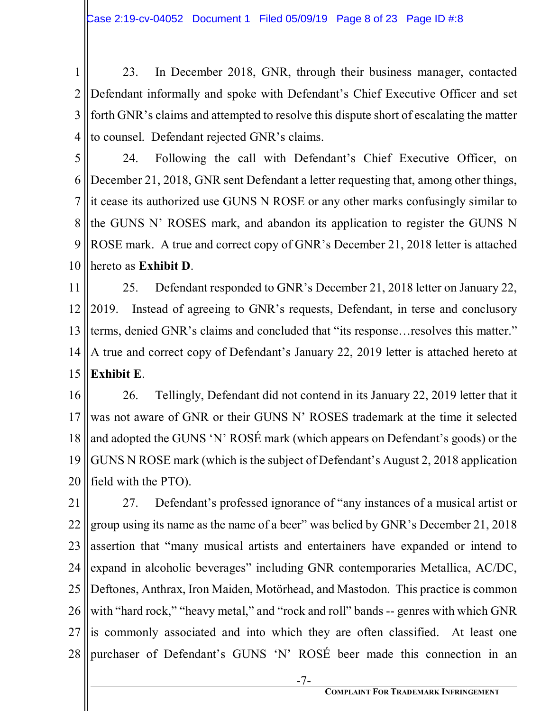1 2 3 4 23. In December 2018, GNR, through their business manager, contacted Defendant informally and spoke with Defendant's Chief Executive Officer and set forth GNR's claims and attempted to resolve this dispute short of escalating the matter to counsel. Defendant rejected GNR's claims.

5 6 7 8 9 10 24. Following the call with Defendant's Chief Executive Officer, on December 21, 2018, GNR sent Defendant a letter requesting that, among other things, it cease its authorized use GUNS N ROSE or any other marks confusingly similar to the GUNS N' ROSES mark, and abandon its application to register the GUNS N ROSE mark. A true and correct copy of GNR's December 21, 2018 letter is attached hereto as **Exhibit D**.

11 12 13 14 15 25. Defendant responded to GNR's December 21, 2018 letter on January 22, 2019. Instead of agreeing to GNR's requests, Defendant, in terse and conclusory terms, denied GNR's claims and concluded that "its response…resolves this matter." A true and correct copy of Defendant's January 22, 2019 letter is attached hereto at **Exhibit E**.

16 17 18 19 20 26. Tellingly, Defendant did not contend in its January 22, 2019 letter that it was not aware of GNR or their GUNS N' ROSES trademark at the time it selected and adopted the GUNS 'N' ROSÉ mark (which appears on Defendant's goods) or the GUNS N ROSE mark (which is the subject of Defendant's August 2, 2018 application field with the PTO).

21 22 23 24 25 26 27 28 27. Defendant's professed ignorance of "any instances of a musical artist or group using its name as the name of a beer" was belied by GNR's December 21, 2018 assertion that "many musical artists and entertainers have expanded or intend to expand in alcoholic beverages" including GNR contemporaries Metallica, AC/DC, Deftones, Anthrax, Iron Maiden, Motörhead, and Mastodon. This practice is common with "hard rock," "heavy metal," and "rock and roll" bands -- genres with which GNR is commonly associated and into which they are often classified. At least one purchaser of Defendant's GUNS 'N' ROSÉ beer made this connection in an

-7-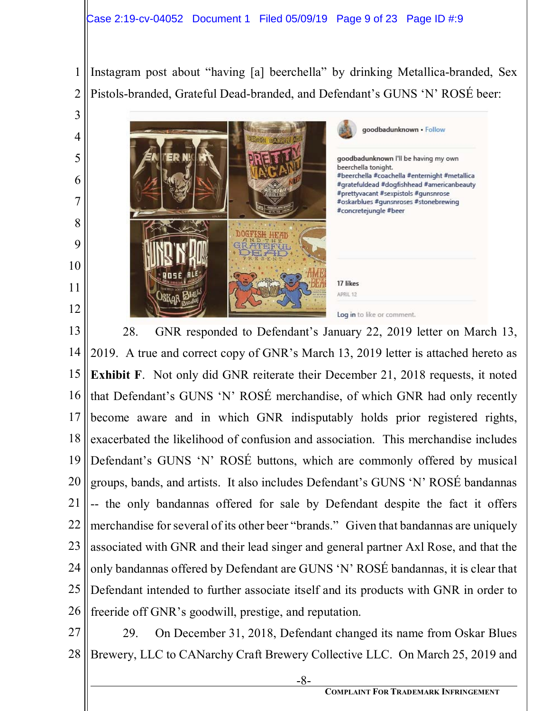#### Case 2:19-cv-04052 Document 1 Filed 05/09/19 Page 9 of 23 Page ID #:9

Instagram post about "having [a] beerchella" by drinking Metallica-branded, Sex Pistols-branded, Grateful Dead-branded, and Defendant's GUNS 'N' ROSÉ beer:



13

1

2

3

4

5

6

7

8

9

10

11

12

14 15 16 17 18 19 20 21 22 23 24 25 26 28. GNR responded to Defendant's January 22, 2019 letter on March 13, 2019. A true and correct copy of GNR's March 13, 2019 letter is attached hereto as **Exhibit F.** Not only did GNR reiterate their December 21, 2018 requests, it noted that Defendant's GUNS 'N' ROSÉ merchandise, of which GNR had only recently become aware and in which GNR indisputably holds prior registered rights, exacerbated the likelihood of confusion and association. This merchandise includes Defendant's GUNS 'N' ROSÉ buttons, which are commonly offered by musical groups, bands, and artists. It also includes Defendant's GUNS 'N' ROSÉ bandannas -- the only bandannas offered for sale by Defendant despite the fact it offers merchandise for several of its other beer "brands." Given that bandannas are uniquely associated with GNR and their lead singer and general partner Axl Rose, and that the only bandannas offered by Defendant are GUNS 'N' ROSÉ bandannas, it is clear that Defendant intended to further associate itself and its products with GNR in order to freeride off GNR's goodwill, prestige, and reputation.

27 28 29. On December 31, 2018, Defendant changed its name from Oskar Blues Brewery, LLC to CANarchy Craft Brewery Collective LLC. On March 25, 2019 and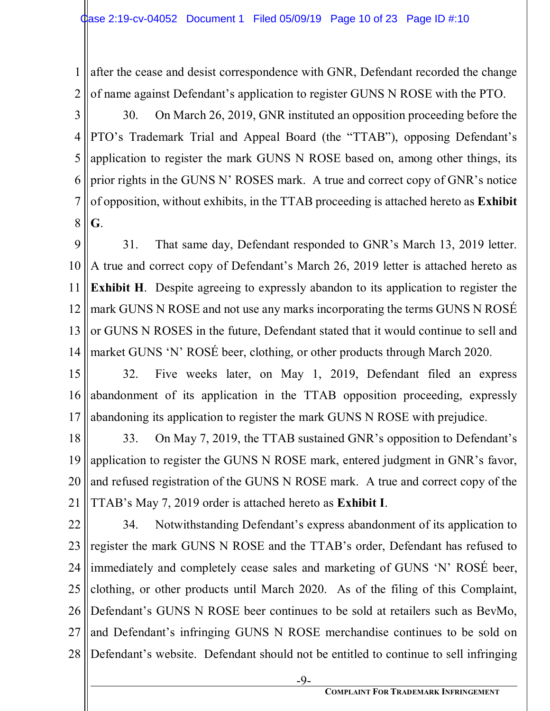1 2 after the cease and desist correspondence with GNR, Defendant recorded the change of name against Defendant's application to register GUNS N ROSE with the PTO.

3 4 5 6 7 8 30. On March 26, 2019, GNR instituted an opposition proceeding before the PTO's Trademark Trial and Appeal Board (the "TTAB"), opposing Defendant's application to register the mark GUNS N ROSE based on, among other things, its prior rights in the GUNS N' ROSES mark. A true and correct copy of GNR's notice of opposition, without exhibits, in the TTAB proceeding is attached hereto as **Exhibit G**.

9 10 11 12 13 14 31. That same day, Defendant responded to GNR's March 13, 2019 letter. A true and correct copy of Defendant's March 26, 2019 letter is attached hereto as **Exhibit H**. Despite agreeing to expressly abandon to its application to register the mark GUNS N ROSE and not use any marks incorporating the terms GUNS N ROSÉ or GUNS N ROSES in the future, Defendant stated that it would continue to sell and market GUNS 'N' ROSÉ beer, clothing, or other products through March 2020.

15 16 17 32. Five weeks later, on May 1, 2019, Defendant filed an express abandonment of its application in the TTAB opposition proceeding, expressly abandoning its application to register the mark GUNS N ROSE with prejudice.

18 19 20 21 33. On May 7, 2019, the TTAB sustained GNR's opposition to Defendant's application to register the GUNS N ROSE mark, entered judgment in GNR's favor, and refused registration of the GUNS N ROSE mark. A true and correct copy of the TTAB's May 7, 2019 order is attached hereto as **Exhibit I**.

22 23 24 25 26 27 28 34. Notwithstanding Defendant's express abandonment of its application to register the mark GUNS N ROSE and the TTAB's order, Defendant has refused to immediately and completely cease sales and marketing of GUNS 'N' ROSÉ beer, clothing, or other products until March 2020. As of the filing of this Complaint, Defendant's GUNS N ROSE beer continues to be sold at retailers such as BevMo, and Defendant's infringing GUNS N ROSE merchandise continues to be sold on Defendant's website. Defendant should not be entitled to continue to sell infringing

-9-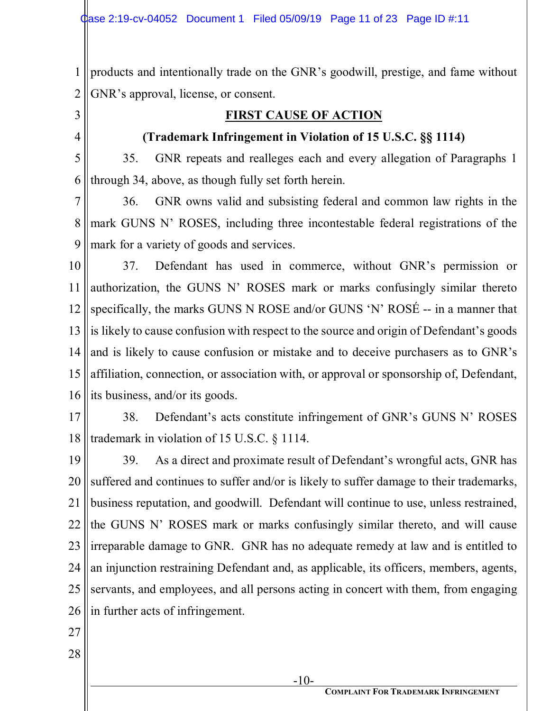1 2 products and intentionally trade on the GNR's goodwill, prestige, and fame without GNR's approval, license, or consent.

3

4

#### **FIRST CAUSE OF ACTION**

#### **(Trademark Infringement in Violation of 15 U.S.C. §§ 1114)**

5 6 35. GNR repeats and realleges each and every allegation of Paragraphs 1 through 34, above, as though fully set forth herein.

7 8 9 36. GNR owns valid and subsisting federal and common law rights in the mark GUNS N' ROSES, including three incontestable federal registrations of the mark for a variety of goods and services.

10 11 12 13 14 15 16 37. Defendant has used in commerce, without GNR's permission or authorization, the GUNS N' ROSES mark or marks confusingly similar thereto specifically, the marks GUNS N ROSE and/or GUNS 'N' ROSÉ -- in a manner that is likely to cause confusion with respect to the source and origin of Defendant's goods and is likely to cause confusion or mistake and to deceive purchasers as to GNR's affiliation, connection, or association with, or approval or sponsorship of, Defendant, its business, and/or its goods.

17 18 38. Defendant's acts constitute infringement of GNR's GUNS N' ROSES trademark in violation of 15 U.S.C. § 1114.

19 20 21 22 23 24 25 26 39. As a direct and proximate result of Defendant's wrongful acts, GNR has suffered and continues to suffer and/or is likely to suffer damage to their trademarks, business reputation, and goodwill. Defendant will continue to use, unless restrained, the GUNS N' ROSES mark or marks confusingly similar thereto, and will cause irreparable damage to GNR. GNR has no adequate remedy at law and is entitled to an injunction restraining Defendant and, as applicable, its officers, members, agents, servants, and employees, and all persons acting in concert with them, from engaging in further acts of infringement.

- 27
- 28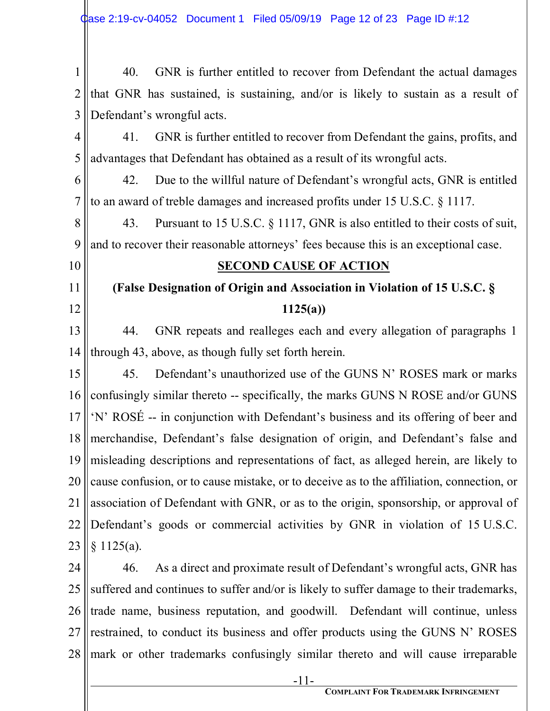1 2 3 40. GNR is further entitled to recover from Defendant the actual damages that GNR has sustained, is sustaining, and/or is likely to sustain as a result of Defendant's wrongful acts.

4 5 41. GNR is further entitled to recover from Defendant the gains, profits, and advantages that Defendant has obtained as a result of its wrongful acts.

6 7 42. Due to the willful nature of Defendant's wrongful acts, GNR is entitled to an award of treble damages and increased profits under 15 U.S.C. § 1117.

8 9 43. Pursuant to 15 U.S.C. § 1117, GNR is also entitled to their costs of suit, and to recover their reasonable attorneys' fees because this is an exceptional case.

10

11

12

#### **SECOND CAUSE OF ACTION**

**(False Designation of Origin and Association in Violation of 15 U.S.C. § 1125(a))** 

13 14 44. GNR repeats and realleges each and every allegation of paragraphs 1 through 43, above, as though fully set forth herein.

15 16 17 18 19 20 21 22 23 45. Defendant's unauthorized use of the GUNS N' ROSES mark or marks confusingly similar thereto -- specifically, the marks GUNS N ROSE and/or GUNS 'N' ROSÉ -- in conjunction with Defendant's business and its offering of beer and merchandise, Defendant's false designation of origin, and Defendant's false and misleading descriptions and representations of fact, as alleged herein, are likely to cause confusion, or to cause mistake, or to deceive as to the affiliation, connection, or association of Defendant with GNR, or as to the origin, sponsorship, or approval of Defendant's goods or commercial activities by GNR in violation of 15 U.S.C. § 1125(a).

24 25 26 27 28 46. As a direct and proximate result of Defendant's wrongful acts, GNR has suffered and continues to suffer and/or is likely to suffer damage to their trademarks, trade name, business reputation, and goodwill. Defendant will continue, unless restrained, to conduct its business and offer products using the GUNS N' ROSES mark or other trademarks confusingly similar thereto and will cause irreparable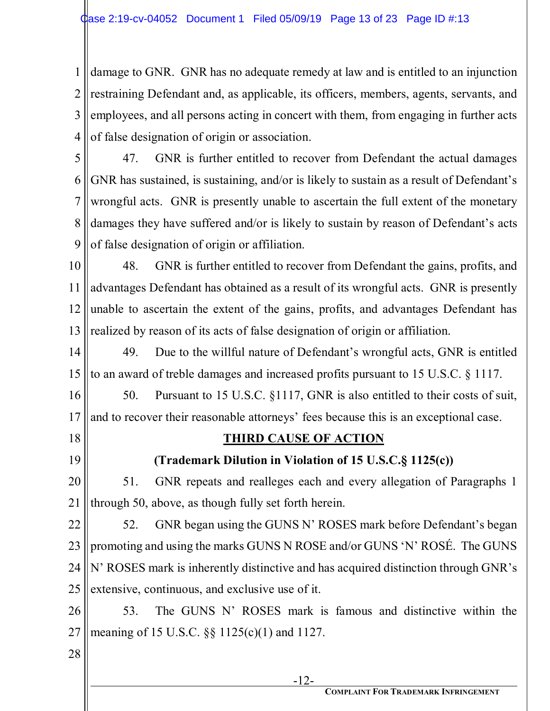1 2 3 4 damage to GNR. GNR has no adequate remedy at law and is entitled to an injunction restraining Defendant and, as applicable, its officers, members, agents, servants, and employees, and all persons acting in concert with them, from engaging in further acts of false designation of origin or association.

5 6 7 8 9 47. GNR is further entitled to recover from Defendant the actual damages GNR has sustained, is sustaining, and/or is likely to sustain as a result of Defendant's wrongful acts. GNR is presently unable to ascertain the full extent of the monetary damages they have suffered and/or is likely to sustain by reason of Defendant's acts of false designation of origin or affiliation.

10 11 12 13 48. GNR is further entitled to recover from Defendant the gains, profits, and advantages Defendant has obtained as a result of its wrongful acts. GNR is presently unable to ascertain the extent of the gains, profits, and advantages Defendant has realized by reason of its acts of false designation of origin or affiliation.

14 15 49. Due to the willful nature of Defendant's wrongful acts, GNR is entitled to an award of treble damages and increased profits pursuant to 15 U.S.C. § 1117.

16 17 50. Pursuant to 15 U.S.C. §1117, GNR is also entitled to their costs of suit, and to recover their reasonable attorneys' fees because this is an exceptional case.

18

19

# **THIRD CAUSE OF ACTION**

**(Trademark Dilution in Violation of 15 U.S.C.§ 1125(c))** 

20 21 51. GNR repeats and realleges each and every allegation of Paragraphs 1 through 50, above, as though fully set forth herein.

22 23 24 25 52. GNR began using the GUNS N' ROSES mark before Defendant's began promoting and using the marks GUNS N ROSE and/or GUNS 'N' ROSÉ. The GUNS N' ROSES mark is inherently distinctive and has acquired distinction through GNR's extensive, continuous, and exclusive use of it.

26 27 53. The GUNS N' ROSES mark is famous and distinctive within the meaning of 15 U.S.C. §§ 1125(c)(1) and 1127.

28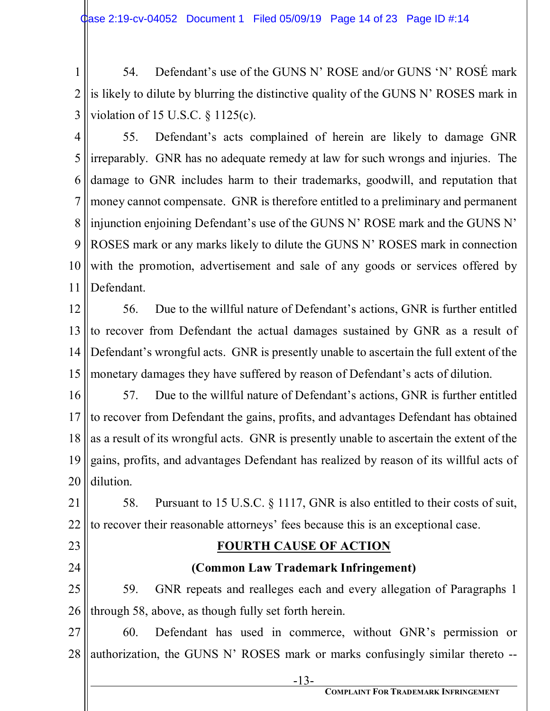1 2 3 54. Defendant's use of the GUNS N' ROSE and/or GUNS 'N' ROSÉ mark is likely to dilute by blurring the distinctive quality of the GUNS N' ROSES mark in violation of 15 U.S.C. § 1125(c).

4 5 6 7 8 9 10 11 55. Defendant's acts complained of herein are likely to damage GNR irreparably. GNR has no adequate remedy at law for such wrongs and injuries. The damage to GNR includes harm to their trademarks, goodwill, and reputation that money cannot compensate. GNR is therefore entitled to a preliminary and permanent injunction enjoining Defendant's use of the GUNS N' ROSE mark and the GUNS N' ROSES mark or any marks likely to dilute the GUNS N' ROSES mark in connection with the promotion, advertisement and sale of any goods or services offered by Defendant.

12 13 14 15 56. Due to the willful nature of Defendant's actions, GNR is further entitled to recover from Defendant the actual damages sustained by GNR as a result of Defendant's wrongful acts. GNR is presently unable to ascertain the full extent of the monetary damages they have suffered by reason of Defendant's acts of dilution.

16 17 18 19 20 57. Due to the willful nature of Defendant's actions, GNR is further entitled to recover from Defendant the gains, profits, and advantages Defendant has obtained as a result of its wrongful acts. GNR is presently unable to ascertain the extent of the gains, profits, and advantages Defendant has realized by reason of its willful acts of dilution.

21 22 58. Pursuant to 15 U.S.C. § 1117, GNR is also entitled to their costs of suit, to recover their reasonable attorneys' fees because this is an exceptional case.

23

24

# **FOURTH CAUSE OF ACTION**

## **(Common Law Trademark Infringement)**

25 26 59. GNR repeats and realleges each and every allegation of Paragraphs 1 through 58, above, as though fully set forth herein.

27 28 60. Defendant has used in commerce, without GNR's permission or authorization, the GUNS N' ROSES mark or marks confusingly similar thereto --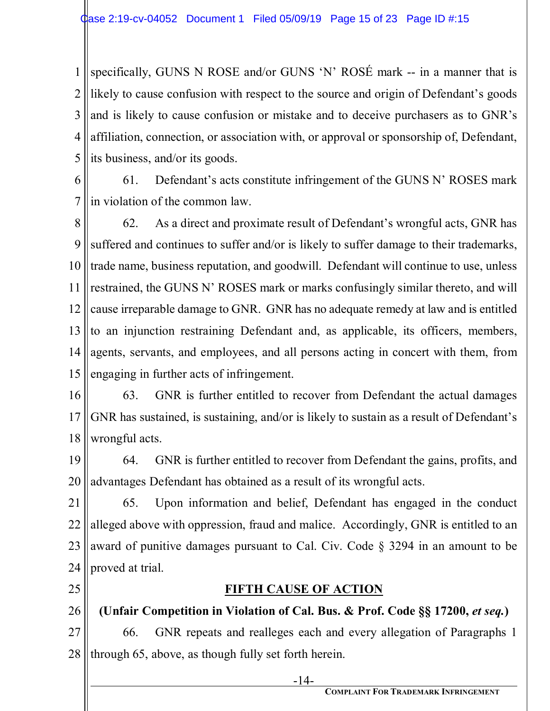1 2 3 4 5 specifically, GUNS N ROSE and/or GUNS 'N' ROSÉ mark -- in a manner that is likely to cause confusion with respect to the source and origin of Defendant's goods and is likely to cause confusion or mistake and to deceive purchasers as to GNR's affiliation, connection, or association with, or approval or sponsorship of, Defendant, its business, and/or its goods.

6 7 61. Defendant's acts constitute infringement of the GUNS N' ROSES mark in violation of the common law.

8 9 10 11 12 13 14 15 62. As a direct and proximate result of Defendant's wrongful acts, GNR has suffered and continues to suffer and/or is likely to suffer damage to their trademarks, trade name, business reputation, and goodwill. Defendant will continue to use, unless restrained, the GUNS N' ROSES mark or marks confusingly similar thereto, and will cause irreparable damage to GNR. GNR has no adequate remedy at law and is entitled to an injunction restraining Defendant and, as applicable, its officers, members, agents, servants, and employees, and all persons acting in concert with them, from engaging in further acts of infringement.

16 17 18 63. GNR is further entitled to recover from Defendant the actual damages GNR has sustained, is sustaining, and/or is likely to sustain as a result of Defendant's wrongful acts.

19 20 64. GNR is further entitled to recover from Defendant the gains, profits, and advantages Defendant has obtained as a result of its wrongful acts.

21 22 23 24 65. Upon information and belief, Defendant has engaged in the conduct alleged above with oppression, fraud and malice. Accordingly, GNR is entitled to an award of punitive damages pursuant to Cal. Civ. Code § 3294 in an amount to be proved at trial.

25

## **FIFTH CAUSE OF ACTION**

26 **(Unfair Competition in Violation of Cal. Bus. & Prof. Code §§ 17200,** *et seq.***)** 

27 28 66. GNR repeats and realleges each and every allegation of Paragraphs 1 through 65, above, as though fully set forth herein.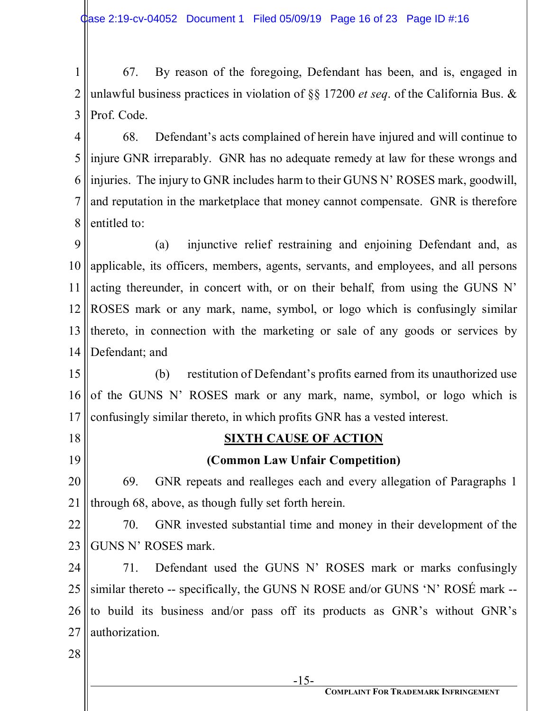1 2 3 67. By reason of the foregoing, Defendant has been, and is, engaged in unlawful business practices in violation of §§ 17200 *et seq*. of the California Bus. & Prof. Code.

4 5 6 7 8 68. Defendant's acts complained of herein have injured and will continue to injure GNR irreparably. GNR has no adequate remedy at law for these wrongs and injuries. The injury to GNR includes harm to their GUNS N' ROSES mark, goodwill, and reputation in the marketplace that money cannot compensate. GNR is therefore entitled to:

9 10 11 12 13 14 (a) injunctive relief restraining and enjoining Defendant and, as applicable, its officers, members, agents, servants, and employees, and all persons acting thereunder, in concert with, or on their behalf, from using the GUNS N' ROSES mark or any mark, name, symbol, or logo which is confusingly similar thereto, in connection with the marketing or sale of any goods or services by Defendant; and

15 16 17 (b) restitution of Defendant's profits earned from its unauthorized use of the GUNS N' ROSES mark or any mark, name, symbol, or logo which is confusingly similar thereto, in which profits GNR has a vested interest.

18 19

## **SIXTH CAUSE OF ACTION**

**(Common Law Unfair Competition)** 

20 21 69. GNR repeats and realleges each and every allegation of Paragraphs 1 through 68, above, as though fully set forth herein.

22 23 70. GNR invested substantial time and money in their development of the GUNS N' ROSES mark.

24 25 26 27 71. Defendant used the GUNS N' ROSES mark or marks confusingly similar thereto -- specifically, the GUNS N ROSE and/or GUNS 'N' ROSÉ mark - to build its business and/or pass off its products as GNR's without GNR's authorization.

28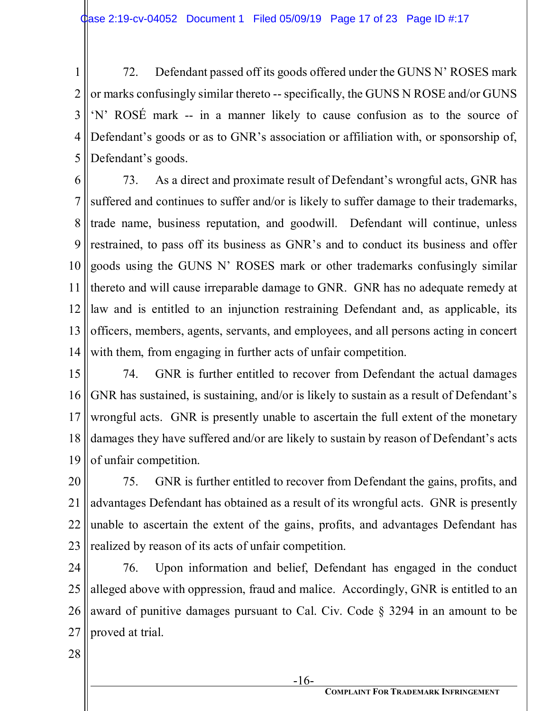1 2 3 4 5 72. Defendant passed off its goods offered under the GUNS N' ROSES mark or marks confusingly similar thereto -- specifically, the GUNS N ROSE and/or GUNS 'N' ROSÉ mark -- in a manner likely to cause confusion as to the source of Defendant's goods or as to GNR's association or affiliation with, or sponsorship of, Defendant's goods.

6 7 8 9 10 11 12 13 14 73. As a direct and proximate result of Defendant's wrongful acts, GNR has suffered and continues to suffer and/or is likely to suffer damage to their trademarks, trade name, business reputation, and goodwill. Defendant will continue, unless restrained, to pass off its business as GNR's and to conduct its business and offer goods using the GUNS N' ROSES mark or other trademarks confusingly similar thereto and will cause irreparable damage to GNR. GNR has no adequate remedy at law and is entitled to an injunction restraining Defendant and, as applicable, its officers, members, agents, servants, and employees, and all persons acting in concert with them, from engaging in further acts of unfair competition.

15 16 17 18 19 74. GNR is further entitled to recover from Defendant the actual damages GNR has sustained, is sustaining, and/or is likely to sustain as a result of Defendant's wrongful acts. GNR is presently unable to ascertain the full extent of the monetary damages they have suffered and/or are likely to sustain by reason of Defendant's acts of unfair competition.

20 21 22 23 75. GNR is further entitled to recover from Defendant the gains, profits, and advantages Defendant has obtained as a result of its wrongful acts. GNR is presently unable to ascertain the extent of the gains, profits, and advantages Defendant has realized by reason of its acts of unfair competition.

24 25 26 27 76. Upon information and belief, Defendant has engaged in the conduct alleged above with oppression, fraud and malice. Accordingly, GNR is entitled to an award of punitive damages pursuant to Cal. Civ. Code § 3294 in an amount to be proved at trial.

28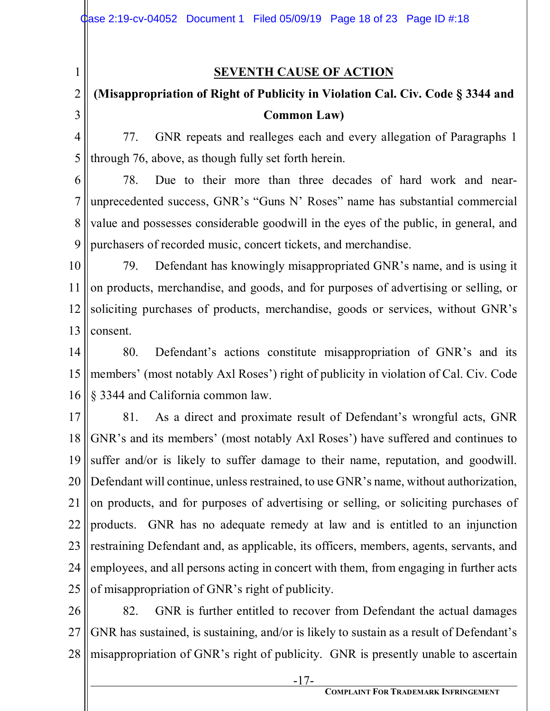1

### **SEVENTH CAUSE OF ACTION**

#### 2 3 **(Misappropriation of Right of Publicity in Violation Cal. Civ. Code § 3344 and Common Law)**

4 5 77. GNR repeats and realleges each and every allegation of Paragraphs 1 through 76, above, as though fully set forth herein.

6 7 8 9 78. Due to their more than three decades of hard work and nearunprecedented success, GNR's "Guns N' Roses" name has substantial commercial value and possesses considerable goodwill in the eyes of the public, in general, and purchasers of recorded music, concert tickets, and merchandise.

10 11 12 13 79. Defendant has knowingly misappropriated GNR's name, and is using it on products, merchandise, and goods, and for purposes of advertising or selling, or soliciting purchases of products, merchandise, goods or services, without GNR's consent.

14 15 16 80. Defendant's actions constitute misappropriation of GNR's and its members' (most notably Axl Roses') right of publicity in violation of Cal. Civ. Code § 3344 and California common law.

17 18 19 20 21 22 23 24 25 81. As a direct and proximate result of Defendant's wrongful acts, GNR GNR's and its members' (most notably Axl Roses') have suffered and continues to suffer and/or is likely to suffer damage to their name, reputation, and goodwill. Defendant will continue, unless restrained, to use GNR's name, without authorization, on products, and for purposes of advertising or selling, or soliciting purchases of products. GNR has no adequate remedy at law and is entitled to an injunction restraining Defendant and, as applicable, its officers, members, agents, servants, and employees, and all persons acting in concert with them, from engaging in further acts of misappropriation of GNR's right of publicity.

26 27 28 82. GNR is further entitled to recover from Defendant the actual damages GNR has sustained, is sustaining, and/or is likely to sustain as a result of Defendant's misappropriation of GNR's right of publicity. GNR is presently unable to ascertain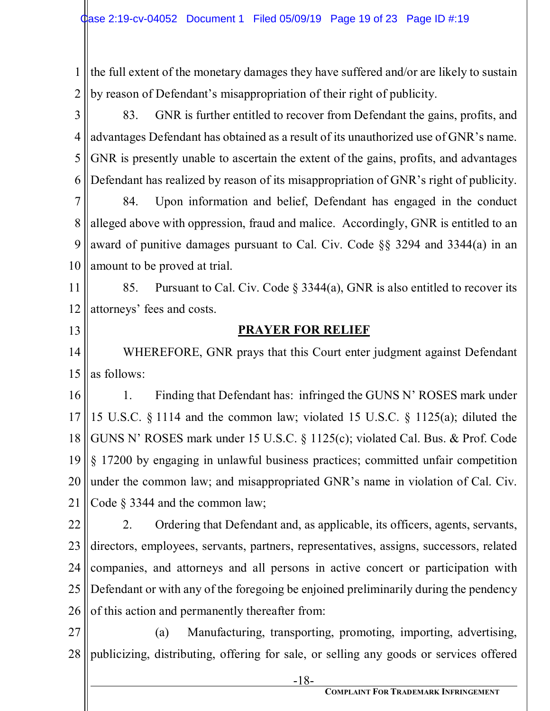1 2 the full extent of the monetary damages they have suffered and/or are likely to sustain by reason of Defendant's misappropriation of their right of publicity.

3 4 5 6 83. GNR is further entitled to recover from Defendant the gains, profits, and advantages Defendant has obtained as a result of its unauthorized use of GNR's name. GNR is presently unable to ascertain the extent of the gains, profits, and advantages Defendant has realized by reason of its misappropriation of GNR's right of publicity.

7 8 9 10 84. Upon information and belief, Defendant has engaged in the conduct alleged above with oppression, fraud and malice. Accordingly, GNR is entitled to an award of punitive damages pursuant to Cal. Civ. Code §§ 3294 and 3344(a) in an amount to be proved at trial.

11 12 85. Pursuant to Cal. Civ. Code § 3344(a), GNR is also entitled to recover its attorneys' fees and costs.

13

### **PRAYER FOR RELIEF**

14 15 WHEREFORE, GNR prays that this Court enter judgment against Defendant as follows:

16 17 18 19 20 21 1. Finding that Defendant has: infringed the GUNS N' ROSES mark under 15 U.S.C. § 1114 and the common law; violated 15 U.S.C. § 1125(a); diluted the GUNS N' ROSES mark under 15 U.S.C. § 1125(c); violated Cal. Bus. & Prof. Code § 17200 by engaging in unlawful business practices; committed unfair competition under the common law; and misappropriated GNR's name in violation of Cal. Civ. Code § 3344 and the common law;

22 23 24 25 26 2. Ordering that Defendant and, as applicable, its officers, agents, servants, directors, employees, servants, partners, representatives, assigns, successors, related companies, and attorneys and all persons in active concert or participation with Defendant or with any of the foregoing be enjoined preliminarily during the pendency of this action and permanently thereafter from:

27 28 (a) Manufacturing, transporting, promoting, importing, advertising, publicizing, distributing, offering for sale, or selling any goods or services offered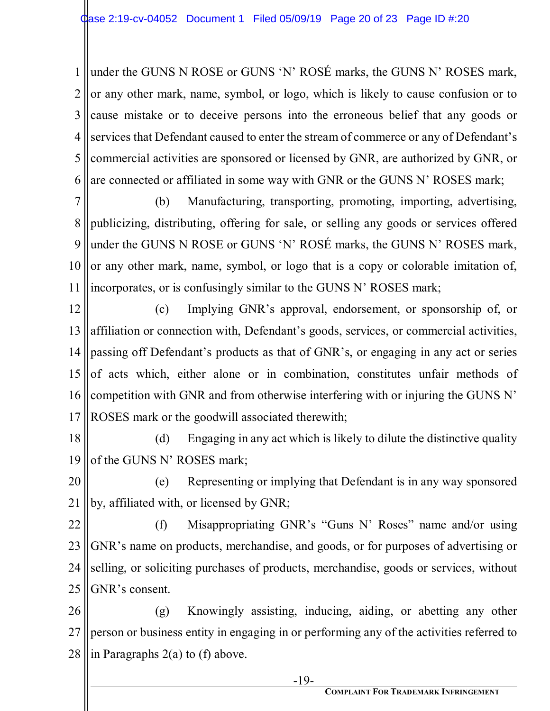1 2 3 4 5 6 under the GUNS N ROSE or GUNS 'N' ROSÉ marks, the GUNS N' ROSES mark, or any other mark, name, symbol, or logo, which is likely to cause confusion or to cause mistake or to deceive persons into the erroneous belief that any goods or services that Defendant caused to enter the stream of commerce or any of Defendant's commercial activities are sponsored or licensed by GNR, are authorized by GNR, or are connected or affiliated in some way with GNR or the GUNS N' ROSES mark;

7 8 9 10 11 (b) Manufacturing, transporting, promoting, importing, advertising, publicizing, distributing, offering for sale, or selling any goods or services offered under the GUNS N ROSE or GUNS 'N' ROSÉ marks, the GUNS N' ROSES mark, or any other mark, name, symbol, or logo that is a copy or colorable imitation of, incorporates, or is confusingly similar to the GUNS N' ROSES mark;

12 13 14 15 16 17 (c) Implying GNR's approval, endorsement, or sponsorship of, or affiliation or connection with, Defendant's goods, services, or commercial activities, passing off Defendant's products as that of GNR's, or engaging in any act or series of acts which, either alone or in combination, constitutes unfair methods of competition with GNR and from otherwise interfering with or injuring the GUNS N' ROSES mark or the goodwill associated therewith;

18 19 (d) Engaging in any act which is likely to dilute the distinctive quality of the GUNS N' ROSES mark;

20 21 (e) Representing or implying that Defendant is in any way sponsored by, affiliated with, or licensed by GNR;

22 23 24 25 (f) Misappropriating GNR's "Guns N' Roses" name and/or using GNR's name on products, merchandise, and goods, or for purposes of advertising or selling, or soliciting purchases of products, merchandise, goods or services, without GNR's consent.

26 27 28 (g) Knowingly assisting, inducing, aiding, or abetting any other person or business entity in engaging in or performing any of the activities referred to in Paragraphs 2(a) to (f) above.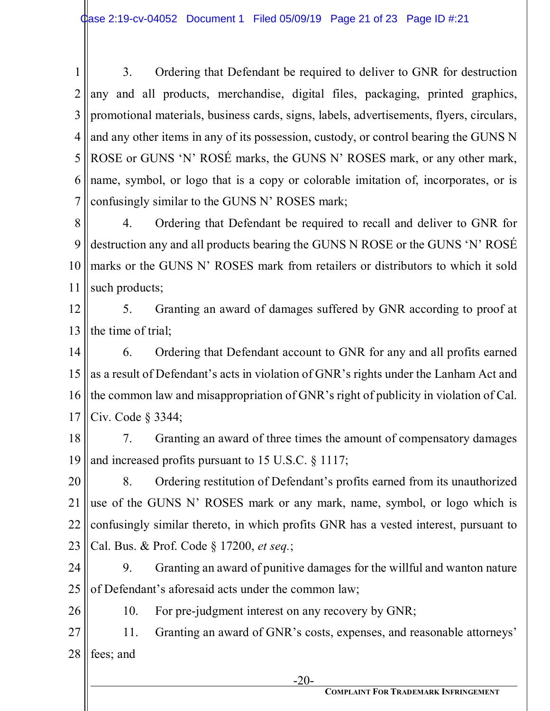1 2 3 4 5 6 7 3. Ordering that Defendant be required to deliver to GNR for destruction any and all products, merchandise, digital files, packaging, printed graphics, promotional materials, business cards, signs, labels, advertisements, flyers, circulars, and any other items in any of its possession, custody, or control bearing the GUNS N ROSE or GUNS 'N' ROSÉ marks, the GUNS N' ROSES mark, or any other mark, name, symbol, or logo that is a copy or colorable imitation of, incorporates, or is confusingly similar to the GUNS N' ROSES mark;

8 9 10 11 4. Ordering that Defendant be required to recall and deliver to GNR for destruction any and all products bearing the GUNS N ROSE or the GUNS 'N' ROSÉ marks or the GUNS N' ROSES mark from retailers or distributors to which it sold such products;

12 13 5. Granting an award of damages suffered by GNR according to proof at the time of trial;

14 15 16 17 6. Ordering that Defendant account to GNR for any and all profits earned as a result of Defendant's acts in violation of GNR's rights under the Lanham Act and the common law and misappropriation of GNR's right of publicity in violation of Cal. Civ. Code § 3344;

18 19 7. Granting an award of three times the amount of compensatory damages and increased profits pursuant to 15 U.S.C. § 1117;

20 21 22 23 8. Ordering restitution of Defendant's profits earned from its unauthorized use of the GUNS N' ROSES mark or any mark, name, symbol, or logo which is confusingly similar thereto, in which profits GNR has a vested interest, pursuant to Cal. Bus. & Prof. Code § 17200, *et seq.*;

24 25 9. Granting an award of punitive damages for the willful and wanton nature of Defendant's aforesaid acts under the common law;

26

10. For pre-judgment interest on any recovery by GNR;

27 28 11. Granting an award of GNR's costs, expenses, and reasonable attorneys' fees; and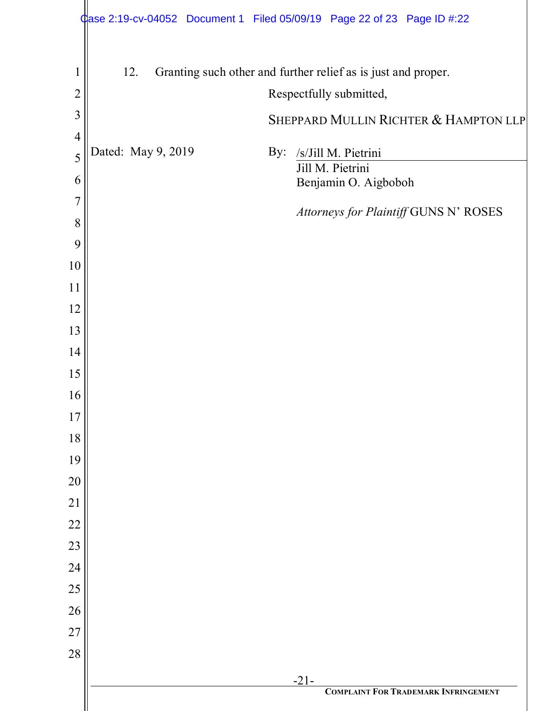|                | Case 2:19-cv-04052 Document 1 Filed 05/09/19 Page 22 of 23 Page ID #:22 |                                                               |
|----------------|-------------------------------------------------------------------------|---------------------------------------------------------------|
| $\mathbf{1}$   | 12.                                                                     | Granting such other and further relief as is just and proper. |
| $\overline{2}$ |                                                                         | Respectfully submitted,                                       |
| 3              |                                                                         |                                                               |
| $\overline{4}$ |                                                                         | SHEPPARD MULLIN RICHTER & HAMPTON LLP                         |
| 5              | Dated: May 9, 2019<br>By:                                               | /s/Jill M. Pietrini                                           |
| 6              |                                                                         | Jill M. Pietrini<br>Benjamin O. Aigboboh                      |
| $\overline{7}$ |                                                                         |                                                               |
| 8              |                                                                         | Attorneys for Plaintiff GUNS N' ROSES                         |
| 9              |                                                                         |                                                               |
| 10             |                                                                         |                                                               |
| 11             |                                                                         |                                                               |
| 12             |                                                                         |                                                               |
| 13             |                                                                         |                                                               |
| 14             |                                                                         |                                                               |
| 15             |                                                                         |                                                               |
| 16             |                                                                         |                                                               |
| 17             |                                                                         |                                                               |
| 18             |                                                                         |                                                               |
| 19             |                                                                         |                                                               |
| 20             |                                                                         |                                                               |
| 21             |                                                                         |                                                               |
| 22             |                                                                         |                                                               |
| 23             |                                                                         |                                                               |
| 24<br>25       |                                                                         |                                                               |
| 26             |                                                                         |                                                               |
| 27             |                                                                         |                                                               |
| $28\,$         |                                                                         |                                                               |
|                |                                                                         | $-21-$                                                        |
|                |                                                                         | <b>COMPLAINT FOR TRADEMARK INFRINGEMENT</b>                   |